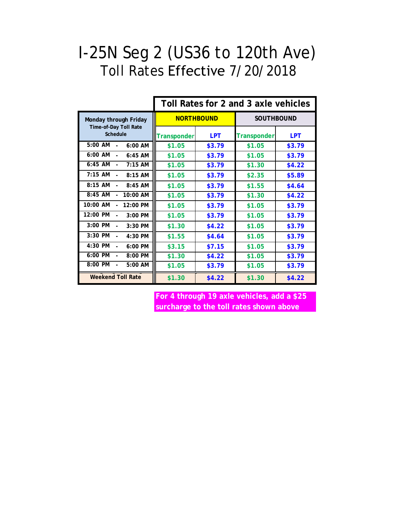## I-25N Seg 2 (US36 to 120th Ave) Toll Rates Effective 7/20/2018

|                                        | Toll Rates for 2 and 3 axle vehicles |            |                    |            |
|----------------------------------------|--------------------------------------|------------|--------------------|------------|
| Monday through Friday                  | <b>NORTHBOUND</b>                    |            | <b>SOUTHBOUND</b>  |            |
| Time-of-Day Toll Rate<br>Schedule      | <b>Transponder</b>                   | <b>LPT</b> | <b>Transponder</b> | <b>LPT</b> |
| 5:00 AM<br>$6:00$ AM                   | \$1.05                               | \$3.79     | \$1.05             | \$3.79     |
| 6:00 AM<br>$6:45$ AM                   | \$1.05                               | \$3.79     | \$1.05             | \$3.79     |
| 6:45 AM<br>$7:15$ AM<br>$\blacksquare$ | \$1.05                               | \$3.79     | \$1.30             | \$4.22     |
| $7:15$ AM<br>$8:15$ AM                 | \$1.05                               | \$3.79     | \$2.35             | \$5.89     |
| $8:15$ AM<br>$8:45$ AM                 | \$1.05                               | \$3.79     | \$1.55             | \$4.64     |
| $8:45$ AM<br>10:00 AM                  | \$1.05                               | \$3.79     | \$1.30             | \$4.22     |
| 10:00 AM<br>12:00 PM<br>$\overline{a}$ | \$1.05                               | \$3.79     | \$1.05             | \$3.79     |
| 12:00 PM<br>3:00 PM<br>$\blacksquare$  | \$1.05                               | \$3.79     | \$1.05             | \$3.79     |
| $3:00$ PM<br>$3:30$ PM                 | \$1.30                               | \$4.22     | \$1.05             | \$3.79     |
| 3:30 PM<br>4:30 PM                     | \$1.55                               | \$4.64     | \$1.05             | \$3.79     |
| 4:30 PM<br>$6:00 \, \text{PM}$         | \$3.15                               | \$7.15     | \$1.05             | \$3.79     |
| 6:00 PM<br>8:00 PM                     | \$1.30                               | \$4.22     | \$1.05             | \$3.79     |
| 8:00 PM<br>$5:00$ AM                   | \$1.05                               | \$3.79     | \$1.05             | \$3.79     |
| <b>Weekend Toll Rate</b>               | \$1.30                               | \$4.22     | \$1.30             | \$4.22     |

**For 4 through 19 axle vehicles, add a \$25 surcharge to the toll rates shown above**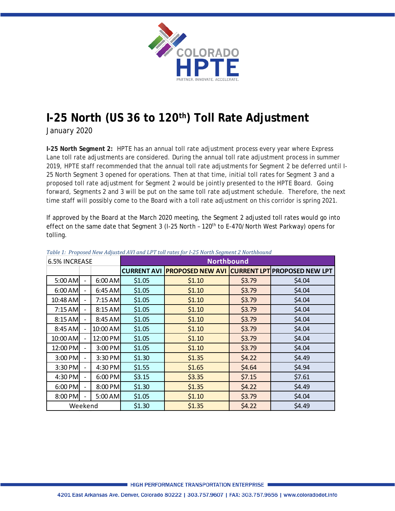

## **I-25 North (US 36 to 120th) Toll Rate Adjustment**

*January 2020*

**I-25 North Segment 2:** HPTE has an annual toll rate adjustment process every year where Express Lane toll rate adjustments are considered. During the annual toll rate adjustment process in summer 2019, HPTE staff recommended that the annual toll rate adjustments for Segment 2 be deferred until I-25 North Segment 3 opened for operations. Then at that time, initial toll rates for Segment 3 and a proposed toll rate adjustment for Segment 2 would be jointly presented to the HPTE Board. Going forward, Segments 2 and 3 will be put on the same toll rate adjustment schedule. Therefore, the next time staff will possibly come to the Board with a toll rate adjustment on this corridor is spring 2021.

If approved by the Board at the March 2020 meeting, the Segment 2 adjusted toll rates would go into effect on the same date that Segment 3 (I-25 North - 120<sup>th</sup> to E-470/North West Parkway) opens for tolling.

| 6.5% INCREASE |                          | $\frac{1}{2}$ able 1. The possession $\frac{1}{2}$ and $\frac{1}{2}$ and $\frac{1}{2}$ is the above for $\frac{1}{2}$ and $\frac{1}{2}$ and $\frac{1}{2}$ and $\frac{1}{2}$ and $\frac{1}{2}$<br><b>Northbound</b> |        |                                                           |        |        |
|---------------|--------------------------|--------------------------------------------------------------------------------------------------------------------------------------------------------------------------------------------------------------------|--------|-----------------------------------------------------------|--------|--------|
|               |                          |                                                                                                                                                                                                                    |        | CURRENT AVI PROPOSED NEW AVI CURRENT LPT PROPOSED NEW LPT |        |        |
| 5:00 AM       |                          | $6:00$ AM                                                                                                                                                                                                          | \$1.05 | \$1.10                                                    | \$3.79 | \$4.04 |
| $6:00$ AM     | $\overline{\phantom{0}}$ | $6:45$ AM                                                                                                                                                                                                          | \$1.05 | \$1.10                                                    | \$3.79 | \$4.04 |
| 10:48 AM      | $\overline{\phantom{a}}$ | $7:15$ AM                                                                                                                                                                                                          | \$1.05 | \$1.10                                                    | \$3.79 | \$4.04 |
| $7:15$ AM     | $\overline{\phantom{a}}$ | $8:15$ AM                                                                                                                                                                                                          | \$1.05 | \$1.10                                                    | \$3.79 | \$4.04 |
| 8:15 AM       | $\overline{\phantom{0}}$ | $8:45$ AM                                                                                                                                                                                                          | \$1.05 | \$1.10                                                    | \$3.79 | \$4.04 |
| 8:45 AM       |                          | 10:00 AM                                                                                                                                                                                                           | \$1.05 | \$1.10                                                    | \$3.79 | \$4.04 |
| 10:00 AM      | $\overline{\phantom{a}}$ | 12:00 PM                                                                                                                                                                                                           | \$1.05 | \$1.10                                                    | \$3.79 | \$4.04 |
| 12:00 PM      | $\overline{\phantom{0}}$ | 3:00 PM                                                                                                                                                                                                            | \$1.05 | \$1.10                                                    | \$3.79 | \$4.04 |
| 3:00 PM       | $\overline{\phantom{a}}$ | 3:30 PM                                                                                                                                                                                                            | \$1.30 | \$1.35                                                    | \$4.22 | \$4.49 |
| 3:30 PM       | $\overline{\phantom{a}}$ | $4:30$ PM                                                                                                                                                                                                          | \$1.55 | \$1.65                                                    | \$4.64 | \$4.94 |
| 4:30 PM       | $\overline{\phantom{a}}$ | $6:00$ PM                                                                                                                                                                                                          | \$3.15 | \$3.35                                                    | \$7.15 | \$7.61 |
| $6:00$ PM     | $\overline{\phantom{a}}$ | 8:00 PM                                                                                                                                                                                                            | \$1.30 | \$1.35                                                    | \$4.22 | \$4.49 |
| 8:00 PM       | $\overline{\phantom{0}}$ | $5:00$ AM                                                                                                                                                                                                          | \$1.05 | \$1.10                                                    | \$3.79 | \$4.04 |
| Weekend       |                          | \$1.30                                                                                                                                                                                                             | \$1.35 | \$4.22                                                    | \$4.49 |        |

## *Table 1: Proposed New Adjusted AVI and LPT toll rates for I-25 North Segment 2 Northbound*

**I HIGH PERFORMANCE TRANSPORTATION ENTERPRISE**